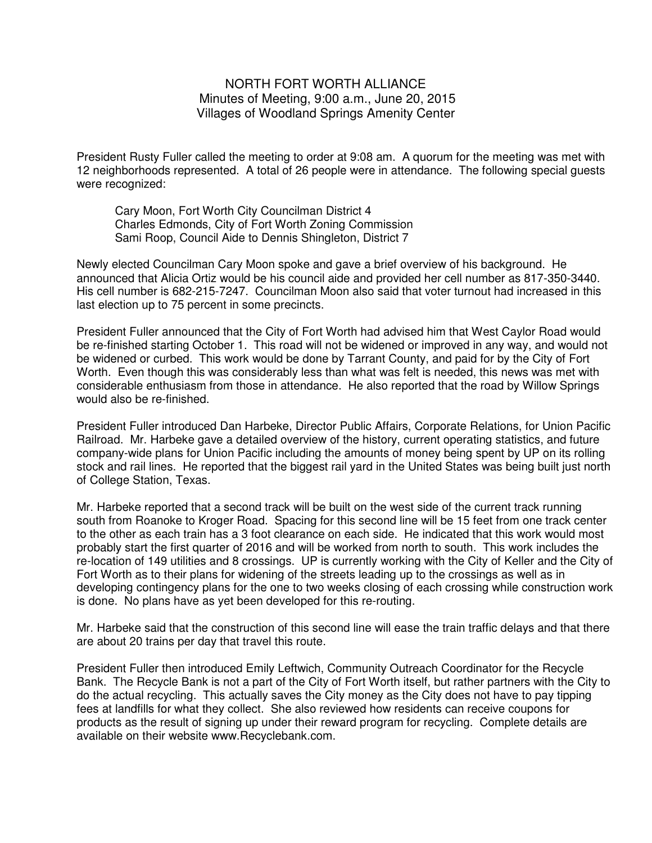## NORTH FORT WORTH ALLIANCE Minutes of Meeting, 9:00 a.m., June 20, 2015 Villages of Woodland Springs Amenity Center

President Rusty Fuller called the meeting to order at 9:08 am. A quorum for the meeting was met with 12 neighborhoods represented. A total of 26 people were in attendance. The following special guests were recognized:

Cary Moon, Fort Worth City Councilman District 4 Charles Edmonds, City of Fort Worth Zoning Commission Sami Roop, Council Aide to Dennis Shingleton, District 7

Newly elected Councilman Cary Moon spoke and gave a brief overview of his background. He announced that Alicia Ortiz would be his council aide and provided her cell number as 817-350-3440. His cell number is 682-215-7247. Councilman Moon also said that voter turnout had increased in this last election up to 75 percent in some precincts.

President Fuller announced that the City of Fort Worth had advised him that West Caylor Road would be re-finished starting October 1. This road will not be widened or improved in any way, and would not be widened or curbed. This work would be done by Tarrant County, and paid for by the City of Fort Worth. Even though this was considerably less than what was felt is needed, this news was met with considerable enthusiasm from those in attendance. He also reported that the road by Willow Springs would also be re-finished.

President Fuller introduced Dan Harbeke, Director Public Affairs, Corporate Relations, for Union Pacific Railroad. Mr. Harbeke gave a detailed overview of the history, current operating statistics, and future company-wide plans for Union Pacific including the amounts of money being spent by UP on its rolling stock and rail lines. He reported that the biggest rail yard in the United States was being built just north of College Station, Texas.

Mr. Harbeke reported that a second track will be built on the west side of the current track running south from Roanoke to Kroger Road. Spacing for this second line will be 15 feet from one track center to the other as each train has a 3 foot clearance on each side. He indicated that this work would most probably start the first quarter of 2016 and will be worked from north to south. This work includes the re-location of 149 utilities and 8 crossings. UP is currently working with the City of Keller and the City of Fort Worth as to their plans for widening of the streets leading up to the crossings as well as in developing contingency plans for the one to two weeks closing of each crossing while construction work is done. No plans have as yet been developed for this re-routing.

Mr. Harbeke said that the construction of this second line will ease the train traffic delays and that there are about 20 trains per day that travel this route.

President Fuller then introduced Emily Leftwich, Community Outreach Coordinator for the Recycle Bank. The Recycle Bank is not a part of the City of Fort Worth itself, but rather partners with the City to do the actual recycling. This actually saves the City money as the City does not have to pay tipping fees at landfills for what they collect. She also reviewed how residents can receive coupons for products as the result of signing up under their reward program for recycling. Complete details are available on their website www.Recyclebank.com.